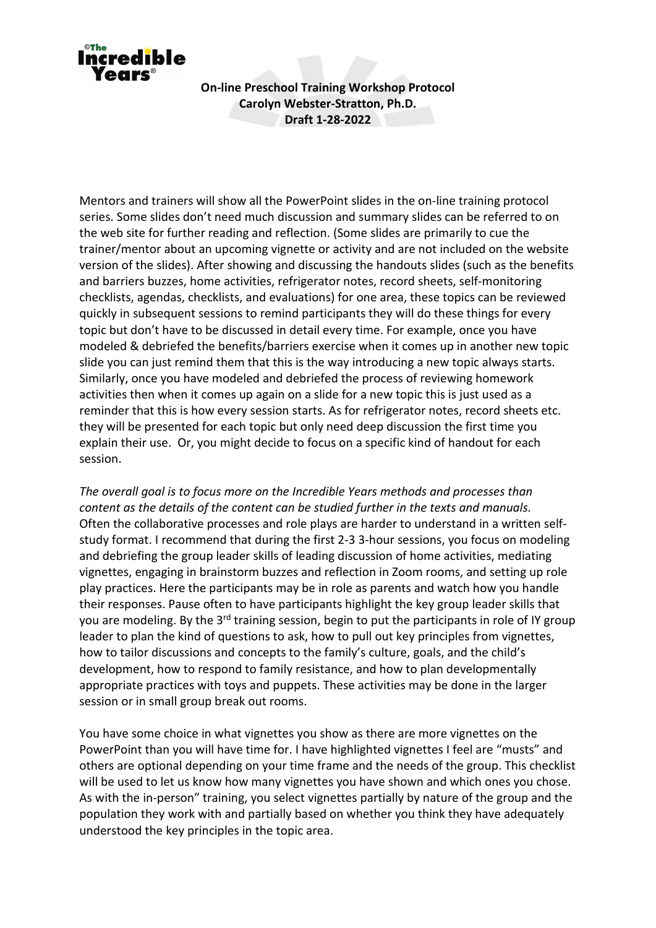

**On-line Preschool Training Workshop Protocol Carolyn Webster-Stratton, Ph.D. Draft 1-28-2022**

Mentors and trainers will show all the PowerPoint slides in the on-line training protocol series. Some slides don't need much discussion and summary slides can be referred to on the web site for further reading and reflection. (Some slides are primarily to cue the trainer/mentor about an upcoming vignette or activity and are not included on the website version of the slides). After showing and discussing the handouts slides (such as the benefits and barriers buzzes, home activities, refrigerator notes, record sheets, self-monitoring checklists, agendas, checklists, and evaluations) for one area, these topics can be reviewed quickly in subsequent sessions to remind participants they will do these things for every topic but don't have to be discussed in detail every time. For example, once you have modeled & debriefed the benefits/barriers exercise when it comes up in another new topic slide you can just remind them that this is the way introducing a new topic always starts. Similarly, once you have modeled and debriefed the process of reviewing homework activities then when it comes up again on a slide for a new topic this is just used as a reminder that this is how every session starts. As for refrigerator notes, record sheets etc. they will be presented for each topic but only need deep discussion the first time you explain their use. Or, you might decide to focus on a specific kind of handout for each session.

*The overall goal is to focus more on the Incredible Years methods and processes than content as the details of the content can be studied further in the texts and manuals.* Often the collaborative processes and role plays are harder to understand in a written selfstudy format. I recommend that during the first 2-3 3-hour sessions, you focus on modeling and debriefing the group leader skills of leading discussion of home activities, mediating vignettes, engaging in brainstorm buzzes and reflection in Zoom rooms, and setting up role play practices. Here the participants may be in role as parents and watch how you handle their responses. Pause often to have participants highlight the key group leader skills that you are modeling. By the 3<sup>rd</sup> training session, begin to put the participants in role of IY group leader to plan the kind of questions to ask, how to pull out key principles from vignettes, how to tailor discussions and concepts to the family's culture, goals, and the child's development, how to respond to family resistance, and how to plan developmentally appropriate practices with toys and puppets. These activities may be done in the larger session or in small group break out rooms.

You have some choice in what vignettes you show as there are more vignettes on the PowerPoint than you will have time for. I have highlighted vignettes I feel are "musts" and others are optional depending on your time frame and the needs of the group. This checklist will be used to let us know how many vignettes you have shown and which ones you chose. As with the in-person" training, you select vignettes partially by nature of the group and the population they work with and partially based on whether you think they have adequately understood the key principles in the topic area.